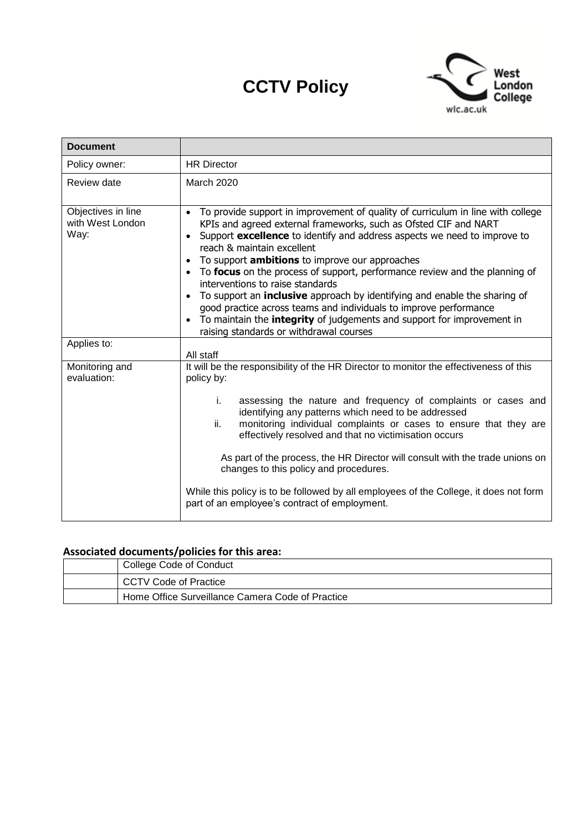# **CCTV Policy**



| <b>Document</b>                                |                                                                                                                                                                                                                                                                                                                                                                                                                                                                                                                                                                                                                                                                                                                        |
|------------------------------------------------|------------------------------------------------------------------------------------------------------------------------------------------------------------------------------------------------------------------------------------------------------------------------------------------------------------------------------------------------------------------------------------------------------------------------------------------------------------------------------------------------------------------------------------------------------------------------------------------------------------------------------------------------------------------------------------------------------------------------|
| Policy owner:                                  | <b>HR Director</b>                                                                                                                                                                                                                                                                                                                                                                                                                                                                                                                                                                                                                                                                                                     |
| Review date                                    | <b>March 2020</b>                                                                                                                                                                                                                                                                                                                                                                                                                                                                                                                                                                                                                                                                                                      |
| Objectives in line<br>with West London<br>Way: | To provide support in improvement of quality of curriculum in line with college<br>KPIs and agreed external frameworks, such as Ofsted CIF and NART<br>Support excellence to identify and address aspects we need to improve to<br>reach & maintain excellent<br>To support <b>ambitions</b> to improve our approaches<br>To focus on the process of support, performance review and the planning of<br>interventions to raise standards<br>To support an <b>inclusive</b> approach by identifying and enable the sharing of<br>good practice across teams and individuals to improve performance<br>To maintain the integrity of judgements and support for improvement in<br>raising standards or withdrawal courses |
| Applies to:                                    | All staff                                                                                                                                                                                                                                                                                                                                                                                                                                                                                                                                                                                                                                                                                                              |
| Monitoring and<br>evaluation:                  | It will be the responsibility of the HR Director to monitor the effectiveness of this<br>policy by:<br>assessing the nature and frequency of complaints or cases and<br>i.<br>identifying any patterns which need to be addressed<br>ii.<br>monitoring individual complaints or cases to ensure that they are<br>effectively resolved and that no victimisation occurs<br>As part of the process, the HR Director will consult with the trade unions on<br>changes to this policy and procedures.<br>While this policy is to be followed by all employees of the College, it does not form<br>part of an employee's contract of employment.                                                                            |

# **Associated documents/policies for this area:**

| College Code of Conduct                          |  |
|--------------------------------------------------|--|
| CCTV Code of Practice                            |  |
| Home Office Surveillance Camera Code of Practice |  |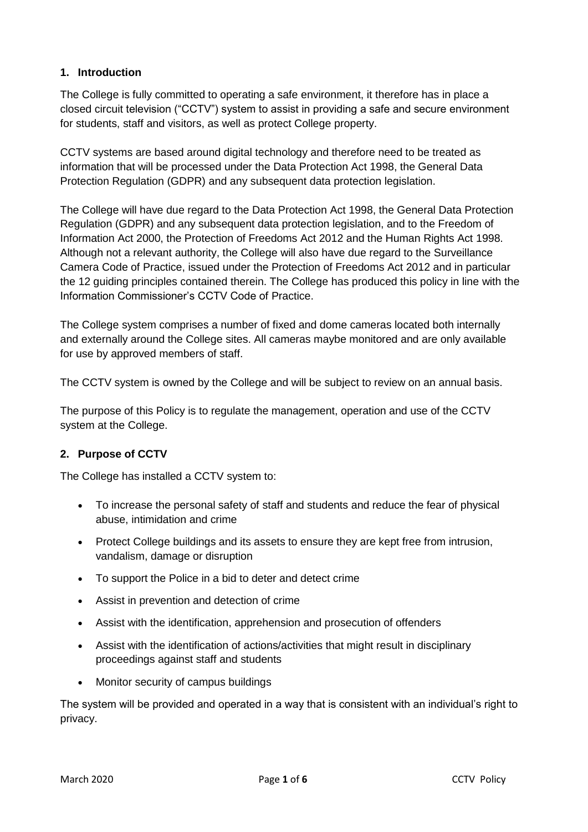## **1. Introduction**

The College is fully committed to operating a safe environment, it therefore has in place a closed circuit television ("CCTV") system to assist in providing a safe and secure environment for students, staff and visitors, as well as protect College property.

CCTV systems are based around digital technology and therefore need to be treated as information that will be processed under the Data Protection Act 1998, the General Data Protection Regulation (GDPR) and any subsequent data protection legislation.

The College will have due regard to the Data Protection Act 1998, the General Data Protection Regulation (GDPR) and any subsequent data protection legislation, and to the Freedom of Information Act 2000, the Protection of Freedoms Act 2012 and the Human Rights Act 1998. Although not a relevant authority, the College will also have due regard to the Surveillance Camera Code of Practice, issued under the Protection of Freedoms Act 2012 and in particular the 12 guiding principles contained therein. The College has produced this policy in line with the Information Commissioner's CCTV Code of Practice.

The College system comprises a number of fixed and dome cameras located both internally and externally around the College sites. All cameras maybe monitored and are only available for use by approved members of staff.

The CCTV system is owned by the College and will be subject to review on an annual basis.

The purpose of this Policy is to regulate the management, operation and use of the CCTV system at the College.

# **2. Purpose of CCTV**

The College has installed a CCTV system to:

- To increase the personal safety of staff and students and reduce the fear of physical abuse, intimidation and crime
- Protect College buildings and its assets to ensure they are kept free from intrusion, vandalism, damage or disruption
- To support the Police in a bid to deter and detect crime
- Assist in prevention and detection of crime
- Assist with the identification, apprehension and prosecution of offenders
- Assist with the identification of actions/activities that might result in disciplinary proceedings against staff and students
- Monitor security of campus buildings

The system will be provided and operated in a way that is consistent with an individual's right to privacy.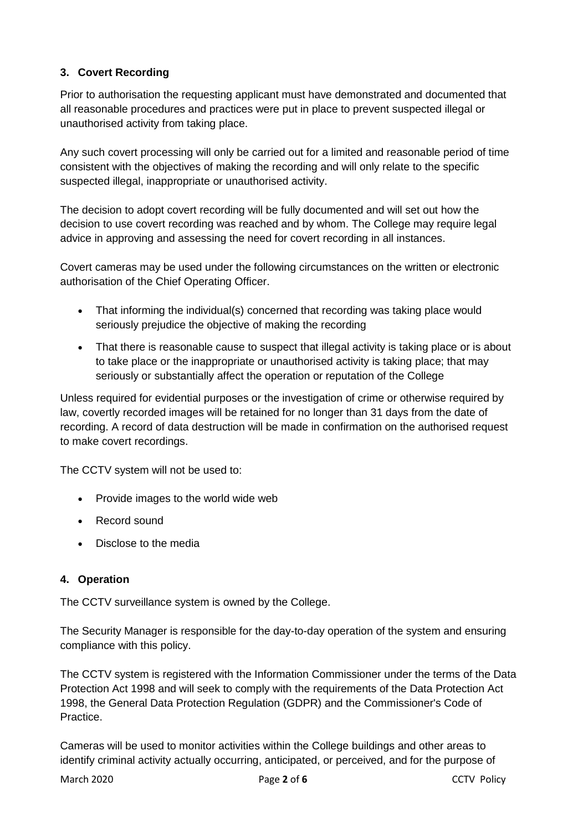# **3. Covert Recording**

Prior to authorisation the requesting applicant must have demonstrated and documented that all reasonable procedures and practices were put in place to prevent suspected illegal or unauthorised activity from taking place.

Any such covert processing will only be carried out for a limited and reasonable period of time consistent with the objectives of making the recording and will only relate to the specific suspected illegal, inappropriate or unauthorised activity.

The decision to adopt covert recording will be fully documented and will set out how the decision to use covert recording was reached and by whom. The College may require legal advice in approving and assessing the need for covert recording in all instances.

Covert cameras may be used under the following circumstances on the written or electronic authorisation of the Chief Operating Officer.

- That informing the individual(s) concerned that recording was taking place would seriously prejudice the objective of making the recording
- That there is reasonable cause to suspect that illegal activity is taking place or is about to take place or the inappropriate or unauthorised activity is taking place; that may seriously or substantially affect the operation or reputation of the College

Unless required for evidential purposes or the investigation of crime or otherwise required by law, covertly recorded images will be retained for no longer than 31 days from the date of recording. A record of data destruction will be made in confirmation on the authorised request to make covert recordings.

The CCTV system will not be used to:

- Provide images to the world wide web
- Record sound
- Disclose to the media

#### **4. Operation**

The CCTV surveillance system is owned by the College.

The Security Manager is responsible for the day-to-day operation of the system and ensuring compliance with this policy.

The CCTV system is registered with the Information Commissioner under the terms of the Data Protection Act 1998 and will seek to comply with the requirements of the Data Protection Act 1998, the General Data Protection Regulation (GDPR) and the Commissioner's Code of Practice.

Cameras will be used to monitor activities within the College buildings and other areas to identify criminal activity actually occurring, anticipated, or perceived, and for the purpose of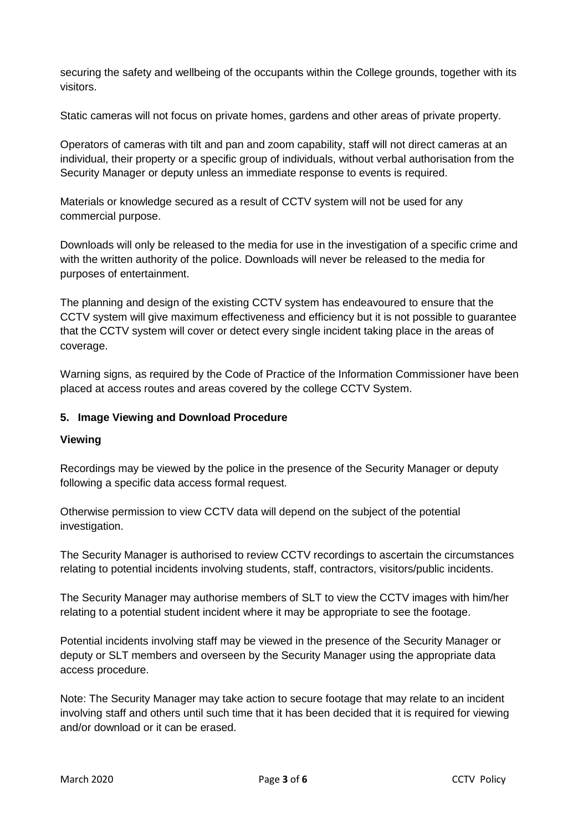securing the safety and wellbeing of the occupants within the College grounds, together with its visitors.

Static cameras will not focus on private homes, gardens and other areas of private property.

Operators of cameras with tilt and pan and zoom capability, staff will not direct cameras at an individual, their property or a specific group of individuals, without verbal authorisation from the Security Manager or deputy unless an immediate response to events is required.

Materials or knowledge secured as a result of CCTV system will not be used for any commercial purpose.

Downloads will only be released to the media for use in the investigation of a specific crime and with the written authority of the police. Downloads will never be released to the media for purposes of entertainment.

The planning and design of the existing CCTV system has endeavoured to ensure that the CCTV system will give maximum effectiveness and efficiency but it is not possible to guarantee that the CCTV system will cover or detect every single incident taking place in the areas of coverage.

Warning signs, as required by the Code of Practice of the Information Commissioner have been placed at access routes and areas covered by the college CCTV System.

#### **5. Image Viewing and Download Procedure**

#### **Viewing**

Recordings may be viewed by the police in the presence of the Security Manager or deputy following a specific data access formal request.

Otherwise permission to view CCTV data will depend on the subject of the potential investigation.

The Security Manager is authorised to review CCTV recordings to ascertain the circumstances relating to potential incidents involving students, staff, contractors, visitors/public incidents.

The Security Manager may authorise members of SLT to view the CCTV images with him/her relating to a potential student incident where it may be appropriate to see the footage.

Potential incidents involving staff may be viewed in the presence of the Security Manager or deputy or SLT members and overseen by the Security Manager using the appropriate data access procedure.

Note: The Security Manager may take action to secure footage that may relate to an incident involving staff and others until such time that it has been decided that it is required for viewing and/or download or it can be erased.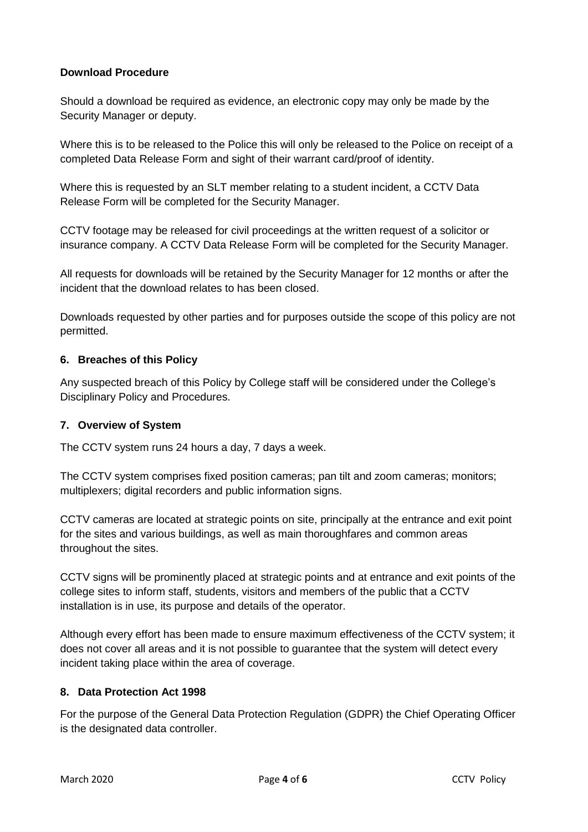# **Download Procedure**

Should a download be required as evidence, an electronic copy may only be made by the Security Manager or deputy.

Where this is to be released to the Police this will only be released to the Police on receipt of a completed Data Release Form and sight of their warrant card/proof of identity.

Where this is requested by an SLT member relating to a student incident, a CCTV Data Release Form will be completed for the Security Manager.

CCTV footage may be released for civil proceedings at the written request of a solicitor or insurance company. A CCTV Data Release Form will be completed for the Security Manager.

All requests for downloads will be retained by the Security Manager for 12 months or after the incident that the download relates to has been closed.

Downloads requested by other parties and for purposes outside the scope of this policy are not permitted.

#### **6. Breaches of this Policy**

Any suspected breach of this Policy by College staff will be considered under the College's Disciplinary Policy and Procedures.

#### **7. Overview of System**

The CCTV system runs 24 hours a day, 7 days a week.

The CCTV system comprises fixed position cameras; pan tilt and zoom cameras; monitors; multiplexers; digital recorders and public information signs.

CCTV cameras are located at strategic points on site, principally at the entrance and exit point for the sites and various buildings, as well as main thoroughfares and common areas throughout the sites.

CCTV signs will be prominently placed at strategic points and at entrance and exit points of the college sites to inform staff, students, visitors and members of the public that a CCTV installation is in use, its purpose and details of the operator.

Although every effort has been made to ensure maximum effectiveness of the CCTV system; it does not cover all areas and it is not possible to guarantee that the system will detect every incident taking place within the area of coverage.

#### **8. Data Protection Act 1998**

For the purpose of the General Data Protection Regulation (GDPR) the Chief Operating Officer is the designated data controller.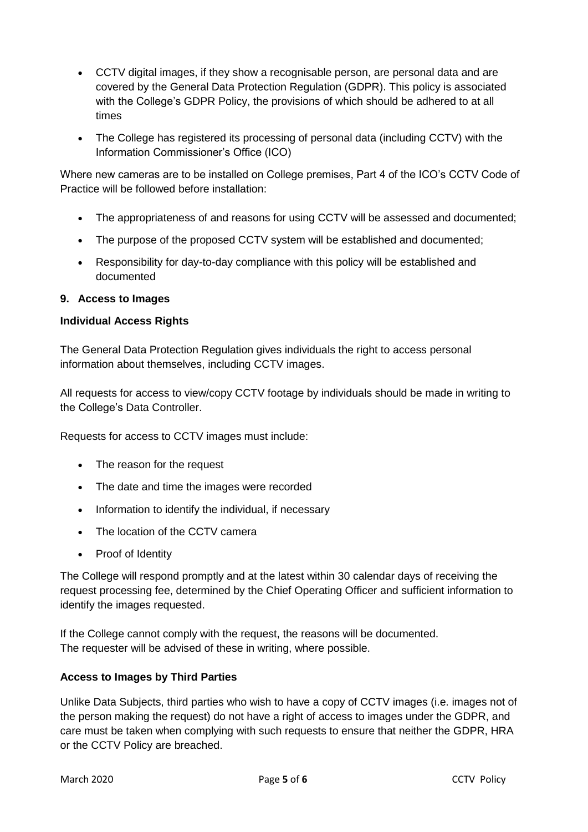- CCTV digital images, if they show a recognisable person, are personal data and are covered by the General Data Protection Regulation (GDPR). This policy is associated with the College's GDPR Policy, the provisions of which should be adhered to at all times
- The College has registered its processing of personal data (including CCTV) with the Information Commissioner's Office (ICO)

Where new cameras are to be installed on College premises, Part 4 of the ICO's CCTV Code of Practice will be followed before installation:

- The appropriateness of and reasons for using CCTV will be assessed and documented;
- The purpose of the proposed CCTV system will be established and documented;
- Responsibility for day-to-day compliance with this policy will be established and documented

#### **9. Access to Images**

#### **Individual Access Rights**

The General Data Protection Regulation gives individuals the right to access personal information about themselves, including CCTV images.

All requests for access to view/copy CCTV footage by individuals should be made in writing to the College's Data Controller.

Requests for access to CCTV images must include:

- The reason for the request
- The date and time the images were recorded
- Information to identify the individual, if necessary
- The location of the CCTV camera
- Proof of Identity

The College will respond promptly and at the latest within 30 calendar days of receiving the request processing fee, determined by the Chief Operating Officer and sufficient information to identify the images requested.

If the College cannot comply with the request, the reasons will be documented. The requester will be advised of these in writing, where possible.

#### **Access to Images by Third Parties**

Unlike Data Subjects, third parties who wish to have a copy of CCTV images (i.e. images not of the person making the request) do not have a right of access to images under the GDPR, and care must be taken when complying with such requests to ensure that neither the GDPR, HRA or the CCTV Policy are breached.